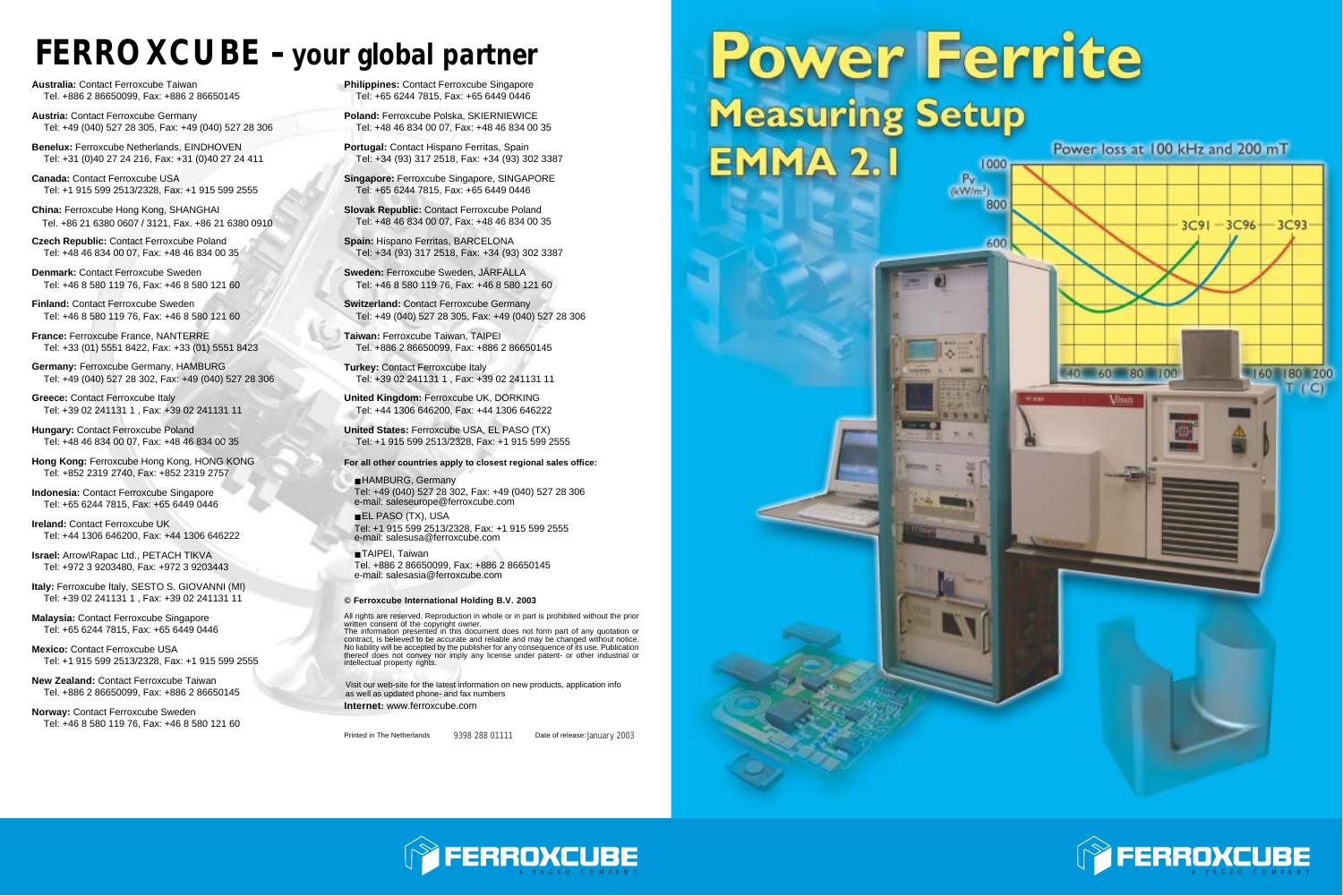

## *FERROXCUBE* **-** *your global partner*

**Australia:** Contact Ferroxcube Taiwan Tel. +886 2 86650099, Fax: +886 2 86650145

**Austria:** Contact Ferroxcube Germany Tel: +49 (040) 527 28 305, Fax: +49 (040) 527 28 306

**Benelux:** Ferroxcube Netherlands, EINDHOVEN Tel: +31 (0)40 27 24 216, Fax: +31 (0)40 27 24 411

**Canada:** Contact Ferroxcube USA Tel: +1 915 599 2513/2328, Fax: +1 915 599 2555

**China:** Ferroxcube Hong Kong, SHANGHAI Tel. +86 21 6380 0607 / 3121, Fax. +86 21 6380 0910

**Hungary: Contact Ferroxcube Poland** Tel: +48 46 834 00 07, Fax: +48 46 834 00 35

**Czech Republic:** Contact Ferroxcube Poland Tel: +48 46 834 00 07, Fax: +48 46 834 00 35

**Denmark:** Contact Ferroxcube Sweden Tel: +46 8 580 119 76, Fax: +46 8 580 121 60

**Finland:** Contact Ferroxcube Sweden Tel: +46 8 580 119 76, Fax: +46 8 580 121 60

**France:** Ferroxcube France, NANTERRE Tel: +33 (01) 5551 8422, Fax: +33 (01) 5551 8423

**Germany:** Ferroxcube Germany, HAMBURG Tel: +49 (040) 527 28 302, Fax: +49 (040) 527 28 306

**Greece:** Contact Ferroxcube Italy Tel: +39 02 241131 1 , Fax: +39 02 241131 11

**Hong Kong:** Ferroxcube Hong Kong, HONG KONG Tel: +852 2319 2740, Fax: +852 2319 2757

**Switzerland: Contact Ferroxcube Germany** Tel: +49 (040) 527 28 305, Fax: +49 (040) 527 28 306

**Indonesia:** Contact Ferroxcube Singapore Tel: +65 6244 7815, Fax: +65 6449 0446

**Ireland:** Contact Ferroxcube UK Tel: +44 1306 646200, Fax: +44 1306 646222

**Israel:** Arrow\Rapac Ltd., PETACH TIKVA Tel: +972 3 9203480, Fax: +972 3 9203443

**Italy:** Ferroxcube Italy, SESTO S. GIOVANNI (MI) Tel: +39 02 241131 1 , Fax: +39 02 241131 11

■ HAMBURG, Germany Tel: +49 (040) 527 28 302, Fax: +49 (040) 527 28 306 e-mail: saleseurope@ferroxcube.com

**Malaysia:** Contact Ferroxcube Singapore Tel: +65 6244 7815, Fax: +65 6449 0446 ■ TAIPEI, Taiwan Tel. +886 2 86650099, Fax: +886 2 86650145 e-mail: salesasia@ferroxcube.com

All rights are reserved. Reproduction in whole or in part is prohibited without the prior written consent of the copyright owner.

**Mexico:** Contact Ferroxcube USA Tel: +1 915 599 2513/2328, Fax: +1 915 599 2555

**New Zealand:** Contact Ferroxcube Taiwan Tel. +886 2 86650099, Fax: +886 2 86650145

**Norway:** Contact Ferroxcube Sweden Tel: +46 8 580 119 76, Fax: +46 8 580 121 60 **Philippines:** Contact Ferroxcube Singapore Tel: +65 6244 7815, Fax: +65 6449 0446

**Poland:** Ferroxcube Polska, SKIERNIEWICE Tel: +48 46 834 00 07, Fax: +48 46 834 00 35

**Portugal:** Contact Hispano Ferritas, Spain Tel: +34 (93) 317 2518, Fax: +34 (93) 302 3387

**Singapore:** Ferroxcube Singapore, SINGAPORE Tel: +65 6244 7815, Fax: +65 6449 0446

**Spain:** Hispano Ferritas, BARCELONA Tel: +34 (93) 317 2518, Fax: +34 (93) 302 3387

**Sweden:** Ferroxcube Sweden, JÄRFÄLLA Tel: +46 8 580 119 76, Fax: +46 8 580 121 60

**Taiwan:** Ferroxcube Taiwan, TAIPEI Tel. +886 2 86650099, Fax: +886 2 86650145

**Turkey:** Contact Ferroxcube Italy Tel: +39 02 241131 1 , Fax: +39 02 241131 11

**United Kingdom:** Ferroxcube UK, DORKING Tel: +44 1306 646200, Fax: +44 1306 646222

**United States:** Ferroxcube USA, EL PASO (TX) Tel: +1 915 599 2513/2328, Fax: +1 915 599 2555

**For all other countries apply to closest regional sales office:** 

■ EL PASO (TX), USA Tel: +1 915 599 2513/2328, Fax: +1 915 599 2555 e-mail: salesusa@ferroxcube.com

#### **© Ferroxcube International Holding B.V. 2003**

**Internet:** www.ferroxcube.com Visit our web-site for the latest information on new products, application info as well as updated phone- and fax numbers

Printed in The Netherlands 9398 288 01111

Date of release: January 2003

# Power Ferrite **Measuring Setup EMMA 2.1** 1000

800







Power loss at 100 kHz and 200 mT

The information presented in this document does not form part of any quotation or contract, is believed to be accurate and reliable and may be changed without notice. No liability will be accepted by the publisher for any consequence of its use. Publication thereof does not convey nor imply any license under patent- or other industrial or intellectual property rights.

**Slovak Republic:** Contact Ferroxcube Poland Tel: +48 46 834 00 07, Fax: +48 46 834 00 35